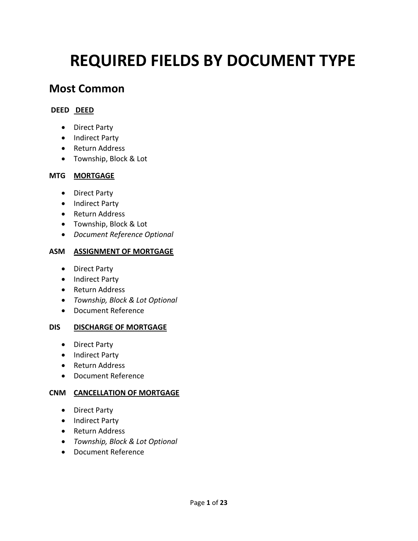# **REQUIRED FIELDS BY DOCUMENT TYPE**

# **Most Common**

# **DEED DEED**

- Direct Party
- Indirect Party
- Return Address
- Township, Block & Lot

# **MTG MORTGAGE**

- Direct Party
- Indirect Party
- Return Address
- Township, Block & Lot
- *Document Reference Optional*

# **ASM ASSIGNMENT OF MORTGAGE**

- Direct Party
- Indirect Party
- Return Address
- *Township, Block & Lot Optional*
- Document Reference

# **DIS DISCHARGE OF MORTGAGE**

- Direct Party
- Indirect Party
- Return Address
- Document Reference

# **CNM CANCELLATION OF MORTGAGE**

- Direct Party
- Indirect Party
- Return Address
- *Township, Block & Lot Optional*
- Document Reference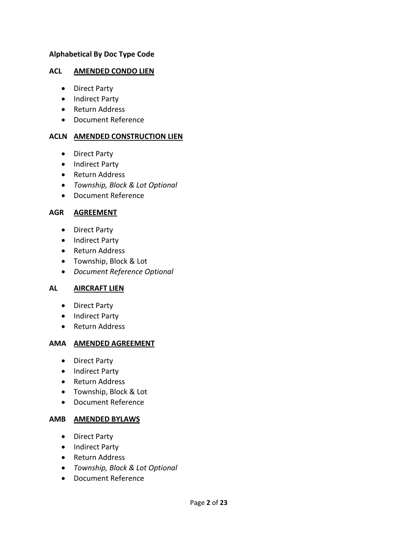#### **Alphabetical By Doc Type Code**

#### **ACL AMENDED CONDO LIEN**

- Direct Party
- Indirect Party
- Return Address
- Document Reference

#### **ACLN AMENDED CONSTRUCTION LIEN**

- Direct Party
- Indirect Party
- Return Address
- *Township, Block & Lot Optional*
- Document Reference

#### **AGR AGREEMENT**

- Direct Party
- Indirect Party
- Return Address
- Township, Block & Lot
- *Document Reference Optional*

#### **AL AIRCRAFT LIEN**

- Direct Party
- Indirect Party
- Return Address

# **AMA AMENDED AGREEMENT**

- Direct Party
- Indirect Party
- Return Address
- Township, Block & Lot
- Document Reference

#### **AMB AMENDED BYLAWS**

- Direct Party
- Indirect Party
- Return Address
- *Township, Block & Lot Optional*
- Document Reference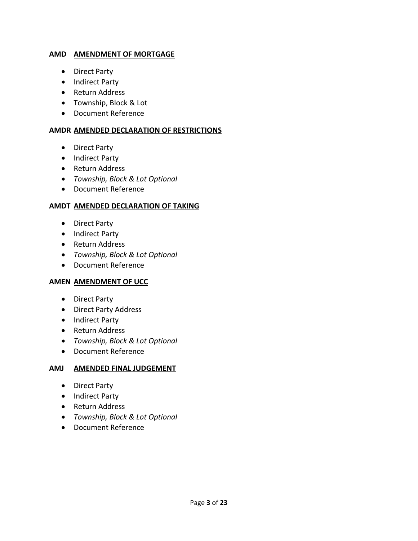#### **AMD AMENDMENT OF MORTGAGE**

- Direct Party
- Indirect Party
- Return Address
- Township, Block & Lot
- Document Reference

#### **AMDR AMENDED DECLARATION OF RESTRICTIONS**

- Direct Party
- Indirect Party
- Return Address
- *Township, Block & Lot Optional*
- Document Reference

#### **AMDT AMENDED DECLARATION OF TAKING**

- Direct Party
- Indirect Party
- Return Address
- *Township, Block & Lot Optional*
- Document Reference

#### **AMEN AMENDMENT OF UCC**

- Direct Party
- Direct Party Address
- Indirect Party
- Return Address
- *Township, Block & Lot Optional*
- Document Reference

#### **AMJ AMENDED FINAL JUDGEMENT**

- Direct Party
- Indirect Party
- Return Address
- *Township, Block & Lot Optional*
- Document Reference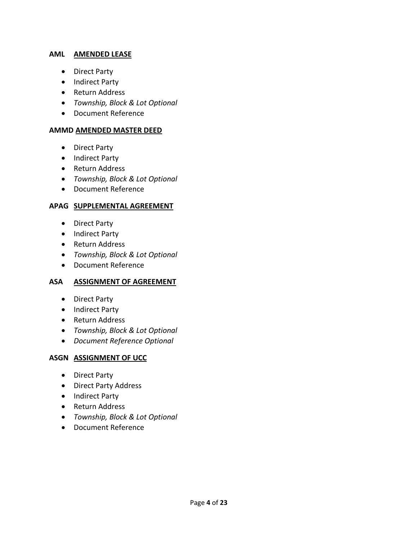#### **AML AMENDED LEASE**

- Direct Party
- Indirect Party
- Return Address
- *Township, Block & Lot Optional*
- Document Reference

#### **AMMD AMENDED MASTER DEED**

- Direct Party
- Indirect Party
- Return Address
- *Township, Block & Lot Optional*
- Document Reference

#### **APAG SUPPLEMENTAL AGREEMENT**

- Direct Party
- Indirect Party
- Return Address
- *Township, Block & Lot Optional*
- Document Reference

#### **ASA ASSIGNMENT OF AGREEMENT**

- Direct Party
- Indirect Party
- Return Address
- *Township, Block & Lot Optional*
- *Document Reference Optional*

#### **ASGN ASSIGNMENT OF UCC**

- Direct Party
- Direct Party Address
- Indirect Party
- Return Address
- *Township, Block & Lot Optional*
- Document Reference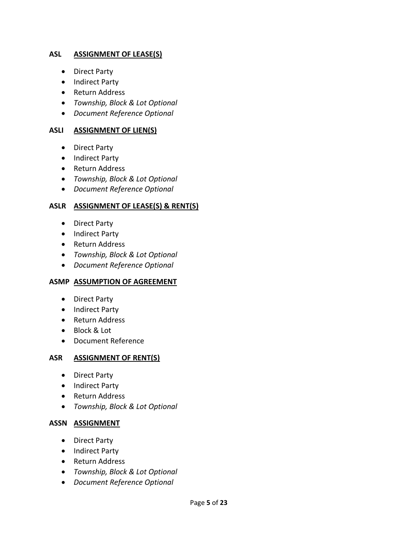#### **ASL ASSIGNMENT OF LEASE(S)**

- Direct Party
- Indirect Party
- Return Address
- *Township, Block & Lot Optional*
- *Document Reference Optional*

#### **ASLI ASSIGNMENT OF LIEN(S)**

- Direct Party
- Indirect Party
- Return Address
- *Township, Block & Lot Optional*
- *Document Reference Optional*

#### **ASLR ASSIGNMENT OF LEASE(S) & RENT(S)**

- Direct Party
- Indirect Party
- Return Address
- *Township, Block & Lot Optional*
- *Document Reference Optional*

#### **ASMP ASSUMPTION OF AGREEMENT**

- Direct Party
- Indirect Party
- Return Address
- Block & Lot
- Document Reference

#### **ASR ASSIGNMENT OF RENT(S)**

- Direct Party
- Indirect Party
- Return Address
- *Township, Block & Lot Optional*

#### **ASSN ASSIGNMENT**

- Direct Party
- Indirect Party
- Return Address
- *Township, Block & Lot Optional*
- *Document Reference Optional*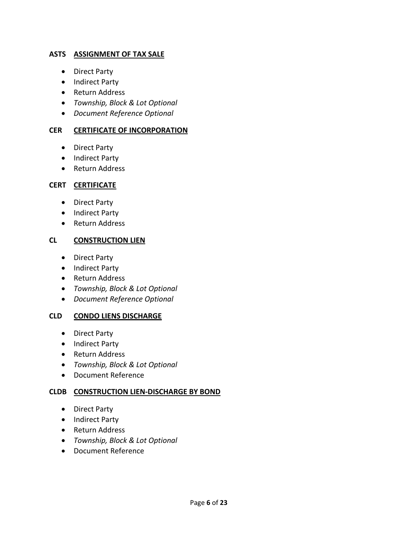#### **ASTS ASSIGNMENT OF TAX SALE**

- Direct Party
- Indirect Party
- Return Address
- *Township, Block & Lot Optional*
- *Document Reference Optional*

#### **CER CERTIFICATE OF INCORPORATION**

- Direct Party
- Indirect Party
- Return Address

#### **CERT CERTIFICATE**

- Direct Party
- Indirect Party
- Return Address

#### **CL CONSTRUCTION LIEN**

- Direct Party
- Indirect Party
- Return Address
- *Township, Block & Lot Optional*
- *Document Reference Optional*

#### **CLD CONDO LIENS DISCHARGE**

- Direct Party
- Indirect Party
- Return Address
- *Township, Block & Lot Optional*
- Document Reference

#### **CLDB CONSTRUCTION LIEN‐DISCHARGE BY BOND**

- Direct Party
- Indirect Party
- Return Address
- *Township, Block & Lot Optional*
- Document Reference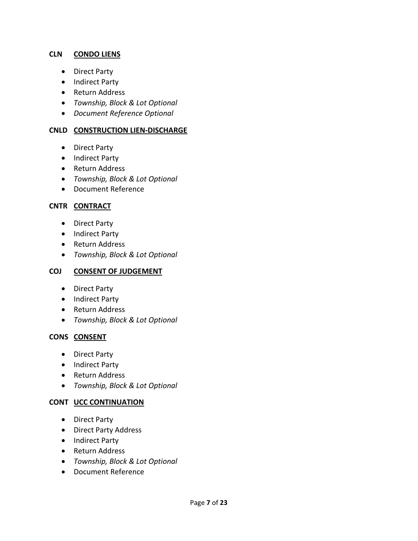#### **CLN CONDO LIENS**

- Direct Party
- Indirect Party
- Return Address
- *Township, Block & Lot Optional*
- *Document Reference Optional*

#### **CNLD CONSTRUCTION LIEN‐DISCHARGE**

- Direct Party
- Indirect Party
- Return Address
- *Township, Block & Lot Optional*
- Document Reference

#### **CNTR CONTRACT**

- Direct Party
- Indirect Party
- Return Address
- *Township, Block & Lot Optional*

#### **COJ CONSENT OF JUDGEMENT**

- Direct Party
- Indirect Party
- Return Address
- *Township, Block & Lot Optional*

#### **CONS CONSENT**

- Direct Party
- Indirect Party
- Return Address
- *Township, Block & Lot Optional*

#### **CONT UCC CONTINUATION**

- Direct Party
- Direct Party Address
- Indirect Party
- Return Address
- *Township, Block & Lot Optional*
- Document Reference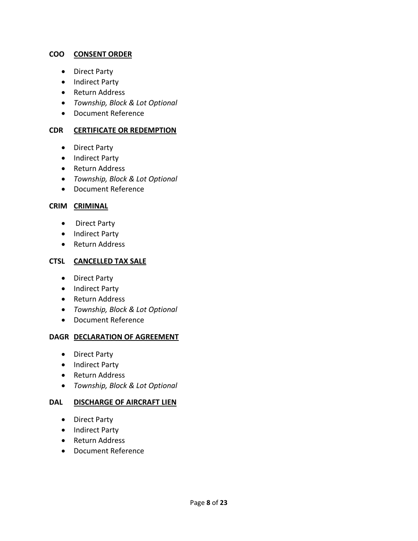#### **COO CONSENT ORDER**

- Direct Party
- Indirect Party
- Return Address
- *Township, Block & Lot Optional*
- Document Reference

#### **CDR CERTIFICATE OR REDEMPTION**

- Direct Party
- Indirect Party
- Return Address
- *Township, Block & Lot Optional*
- Document Reference

#### **CRIM CRIMINAL**

- Direct Party
- Indirect Party
- Return Address

#### **CTSL CANCELLED TAX SALE**

- Direct Party
- Indirect Party
- Return Address
- *Township, Block & Lot Optional*
- Document Reference

#### **DAGR DECLARATION OF AGREEMENT**

- Direct Party
- Indirect Party
- Return Address
- *Township, Block & Lot Optional*

#### **DAL DISCHARGE OF AIRCRAFT LIEN**

- Direct Party
- Indirect Party
- Return Address
- Document Reference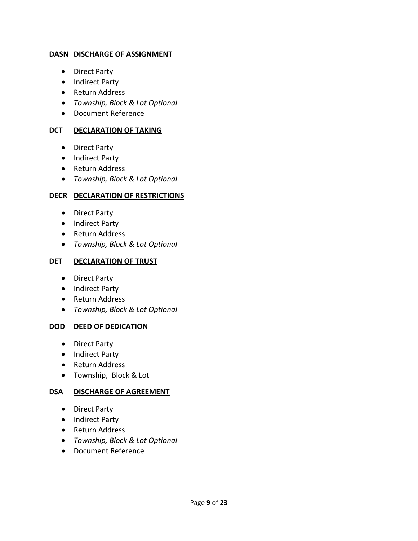#### **DASN DISCHARGE OF ASSIGNMENT**

- Direct Party
- Indirect Party
- Return Address
- *Township, Block & Lot Optional*
- Document Reference

# **DCT DECLARATION OF TAKING**

- Direct Party
- Indirect Party
- Return Address
- *Township, Block & Lot Optional*

# **DECR DECLARATION OF RESTRICTIONS**

- Direct Party
- Indirect Party
- Return Address
- *Township, Block & Lot Optional*

# **DET DECLARATION OF TRUST**

- Direct Party
- Indirect Party
- Return Address
- *Township, Block & Lot Optional*

# **DOD DEED OF DEDICATION**

- Direct Party
- Indirect Party
- Return Address
- Township, Block & Lot

#### **DSA DISCHARGE OF AGREEMENT**

- Direct Party
- Indirect Party
- Return Address
- *Township, Block & Lot Optional*
- Document Reference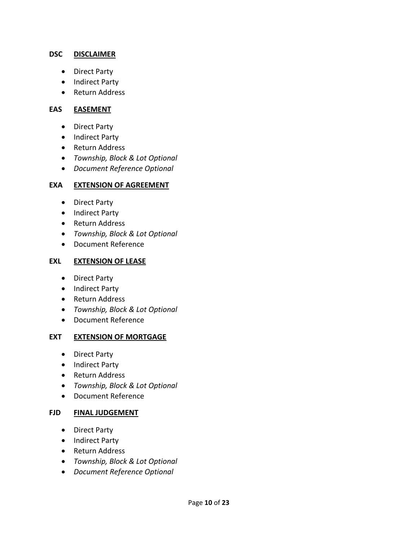#### **DSC DISCLAIMER**

- Direct Party
- Indirect Party
- Return Address

#### **EAS EASEMENT**

- Direct Party
- Indirect Party
- Return Address
- *Township, Block & Lot Optional*
- *Document Reference Optional*

#### **EXA EXTENSION OF AGREEMENT**

- Direct Party
- Indirect Party
- Return Address
- *Township, Block & Lot Optional*
- Document Reference

#### **EXL EXTENSION OF LEASE**

- Direct Party
- Indirect Party
- Return Address
- *Township, Block & Lot Optional*
- Document Reference

#### **EXT EXTENSION OF MORTGAGE**

- Direct Party
- Indirect Party
- Return Address
- *Township, Block & Lot Optional*
- Document Reference

#### **FJD FINAL JUDGEMENT**

- Direct Party
- Indirect Party
- Return Address
- *Township, Block & Lot Optional*
- *Document Reference Optional*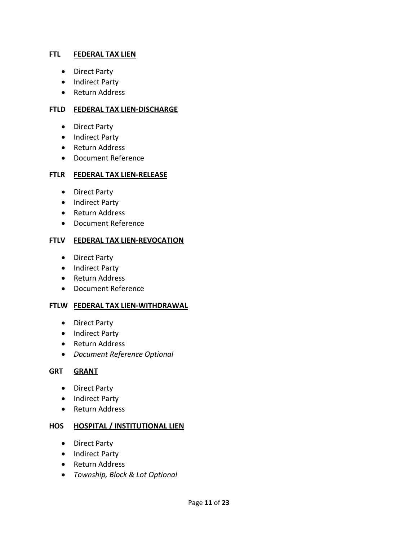#### **FTL FEDERAL TAX LIEN**

- Direct Party
- Indirect Party
- Return Address

#### **FTLD FEDERAL TAX LIEN‐DISCHARGE**

- Direct Party
- Indirect Party
- Return Address
- Document Reference

#### **FTLR FEDERAL TAX LIEN‐RELEASE**

- Direct Party
- Indirect Party
- Return Address
- Document Reference

#### **FTLV FEDERAL TAX LIEN‐REVOCATION**

- Direct Party
- Indirect Party
- Return Address
- Document Reference

#### **FTLW FEDERAL TAX LIEN‐WITHDRAWAL**

- Direct Party
- Indirect Party
- Return Address
- *Document Reference Optional*

#### **GRT GRANT**

- Direct Party
- Indirect Party
- Return Address

#### **HOS HOSPITAL / INSTITUTIONAL LIEN**

- Direct Party
- Indirect Party
- Return Address
- *Township, Block & Lot Optional*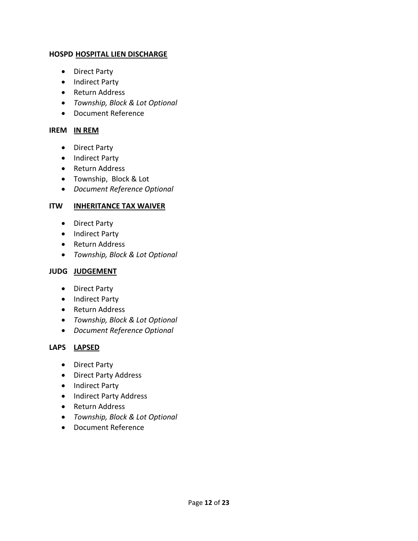#### **HOSPD HOSPITAL LIEN DISCHARGE**

- Direct Party
- Indirect Party
- Return Address
- *Township, Block & Lot Optional*
- Document Reference

#### **IREM IN REM**

- Direct Party
- Indirect Party
- Return Address
- Township, Block & Lot
- *Document Reference Optional*

# **ITW INHERITANCE TAX WAIVER**

- Direct Party
- Indirect Party
- Return Address
- *Township, Block & Lot Optional*

#### **JUDG JUDGEMENT**

- Direct Party
- Indirect Party
- Return Address
- *Township, Block & Lot Optional*
- *Document Reference Optional*

# **LAPS LAPSED**

- Direct Party
- Direct Party Address
- Indirect Party
- Indirect Party Address
- Return Address
- *Township, Block & Lot Optional*
- Document Reference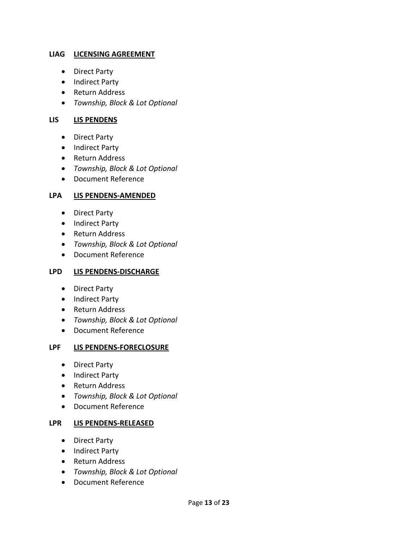#### **LIAG LICENSING AGREEMENT**

- Direct Party
- Indirect Party
- Return Address
- *Township, Block & Lot Optional*

#### **LIS LIS PENDENS**

- Direct Party
- Indirect Party
- Return Address
- *Township, Block & Lot Optional*
- Document Reference

#### **LPA LIS PENDENS‐AMENDED**

- Direct Party
- Indirect Party
- Return Address
- *Township, Block & Lot Optional*
- Document Reference

#### **LPD LIS PENDENS‐DISCHARGE**

- Direct Party
- Indirect Party
- Return Address
- *Township, Block & Lot Optional*
- Document Reference

#### **LPF LIS PENDENS‐FORECLOSURE**

- Direct Party
- Indirect Party
- Return Address
- *Township, Block & Lot Optional*
- Document Reference

#### **LPR LIS PENDENS‐RELEASED**

- Direct Party
- Indirect Party
- Return Address
- *Township, Block & Lot Optional*
- Document Reference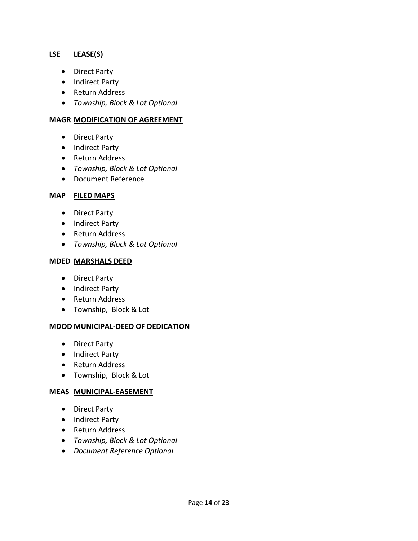#### **LSE LEASE(S)**

- Direct Party
- Indirect Party
- Return Address
- *Township, Block & Lot Optional*

#### **MAGR MODIFICATION OF AGREEMENT**

- Direct Party
- Indirect Party
- Return Address
- *Township, Block & Lot Optional*
- Document Reference

#### **MAP FILED MAPS**

- Direct Party
- Indirect Party
- Return Address
- *Township, Block & Lot Optional*

#### **MDED MARSHALS DEED**

- Direct Party
- Indirect Party
- Return Address
- Township, Block & Lot

#### **MDOD MUNICIPAL‐DEED OF DEDICATION**

- Direct Party
- Indirect Party
- Return Address
- Township, Block & Lot

#### **MEAS MUNICIPAL‐EASEMENT**

- Direct Party
- Indirect Party
- Return Address
- *Township, Block & Lot Optional*
- *Document Reference Optional*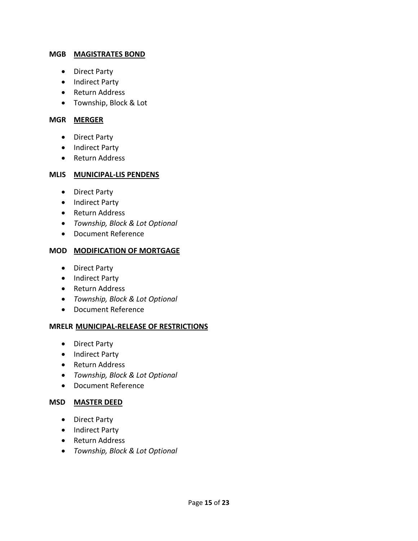#### **MGB MAGISTRATES BOND**

- Direct Party
- Indirect Party
- Return Address
- Township, Block & Lot

#### **MGR MERGER**

- Direct Party
- Indirect Party
- Return Address

#### **MLIS MUNICIPAL‐LIS PENDENS**

- Direct Party
- Indirect Party
- Return Address
- *Township, Block & Lot Optional*
- Document Reference

#### **MOD MODIFICATION OF MORTGAGE**

- Direct Party
- Indirect Party
- Return Address
- *Township, Block & Lot Optional*
- Document Reference

#### **MRELR MUNICIPAL‐RELEASE OF RESTRICTIONS**

- Direct Party
- Indirect Party
- Return Address
- *Township, Block & Lot Optional*
- Document Reference

#### **MSD MASTER DEED**

- Direct Party
- Indirect Party
- Return Address
- *Township, Block & Lot Optional*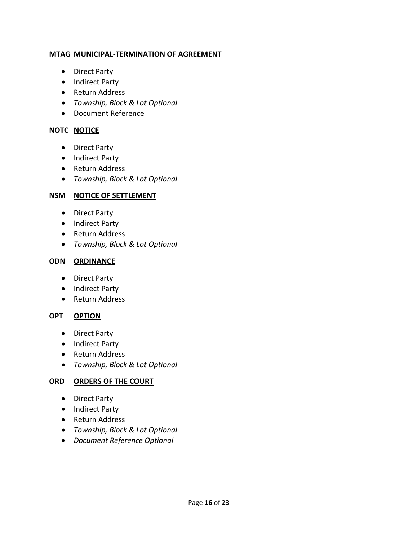#### **MTAG MUNICIPAL‐TERMINATION OF AGREEMENT**

- Direct Party
- Indirect Party
- Return Address
- *Township, Block & Lot Optional*
- Document Reference

# **NOTC NOTICE**

- Direct Party
- Indirect Party
- Return Address
- *Township, Block & Lot Optional*

# **NSM NOTICE OF SETTLEMENT**

- Direct Party
- Indirect Party
- Return Address
- *Township, Block & Lot Optional*

# **ODN ORDINANCE**

- Direct Party
- Indirect Party
- Return Address

# **OPT OPTION**

- Direct Party
- Indirect Party
- Return Address
- *Township, Block & Lot Optional*

# **ORD ORDERS OF THE COURT**

- Direct Party
- Indirect Party
- Return Address
- *Township, Block & Lot Optional*
- *Document Reference Optional*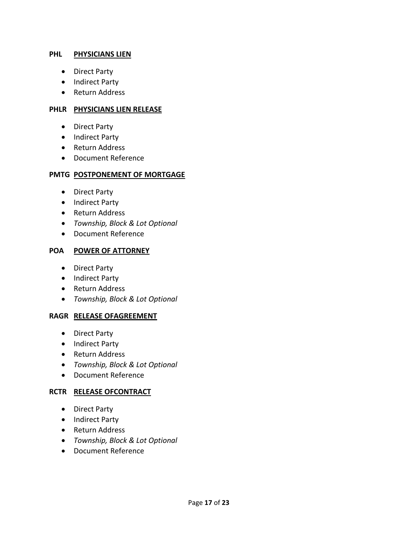#### **PHL PHYSICIANS LIEN**

- Direct Party
- Indirect Party
- Return Address

#### **PHLR PHYSICIANS LIEN RELEASE**

- Direct Party
- Indirect Party
- Return Address
- Document Reference

#### **PMTG POSTPONEMENT OF MORTGAGE**

- Direct Party
- Indirect Party
- Return Address
- *Township, Block & Lot Optional*
- Document Reference

#### **POA POWER OF ATTORNEY**

- Direct Party
- Indirect Party
- Return Address
- *Township, Block & Lot Optional*

#### **RAGR RELEASE OFAGREEMENT**

- Direct Party
- Indirect Party
- Return Address
- *Township, Block & Lot Optional*
- Document Reference

#### **RCTR RELEASE OFCONTRACT**

- Direct Party
- Indirect Party
- Return Address
- *Township, Block & Lot Optional*
- Document Reference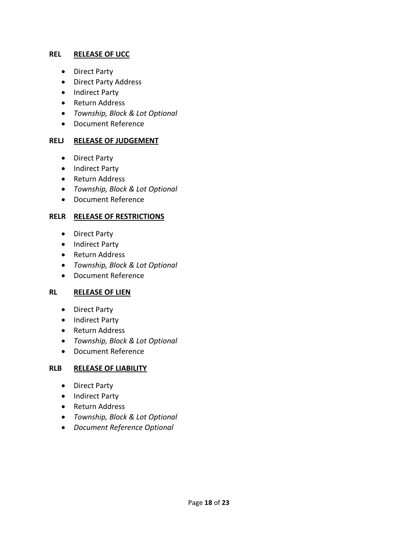#### **REL RELEASE OF UCC**

- Direct Party
- Direct Party Address
- Indirect Party
- Return Address
- *Township, Block & Lot Optional*
- Document Reference

#### **RELJ RELEASE OF JUDGEMENT**

- Direct Party
- Indirect Party
- Return Address
- *Township, Block & Lot Optional*
- Document Reference

#### **RELR RELEASE OF RESTRICTIONS**

- Direct Party
- Indirect Party
- Return Address
- *Township, Block & Lot Optional*
- Document Reference

#### **RL RELEASE OF LIEN**

- Direct Party
- Indirect Party
- Return Address
- *Township, Block & Lot Optional*
- Document Reference

#### **RLB RELEASE OF LIABILITY**

- Direct Party
- Indirect Party
- Return Address
- *Township, Block & Lot Optional*
- *Document Reference Optional*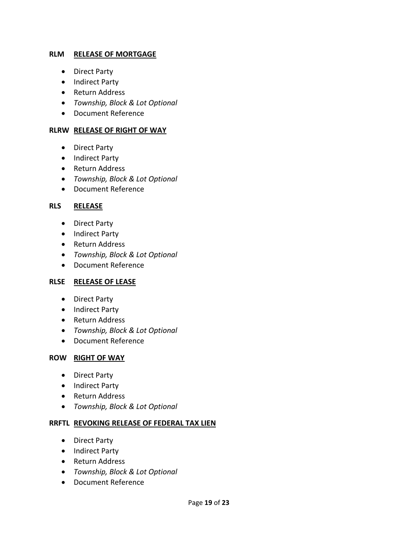#### **RLM RELEASE OF MORTGAGE**

- Direct Party
- Indirect Party
- Return Address
- *Township, Block & Lot Optional*
- Document Reference

#### **RLRW RELEASE OF RIGHT OF WAY**

- Direct Party
- Indirect Party
- Return Address
- *Township, Block & Lot Optional*
- Document Reference

#### **RLS RELEASE**

- Direct Party
- Indirect Party
- Return Address
- *Township, Block & Lot Optional*
- Document Reference

#### **RLSE RELEASE OF LEASE**

- Direct Party
- Indirect Party
- Return Address
- *Township, Block & Lot Optional*
- Document Reference

#### **ROW RIGHT OF WAY**

- Direct Party
- Indirect Party
- Return Address
- *Township, Block & Lot Optional*

#### **RRFTL REVOKING RELEASE OF FEDERAL TAX LIEN**

- Direct Party
- Indirect Party
- Return Address
- *Township, Block & Lot Optional*
- Document Reference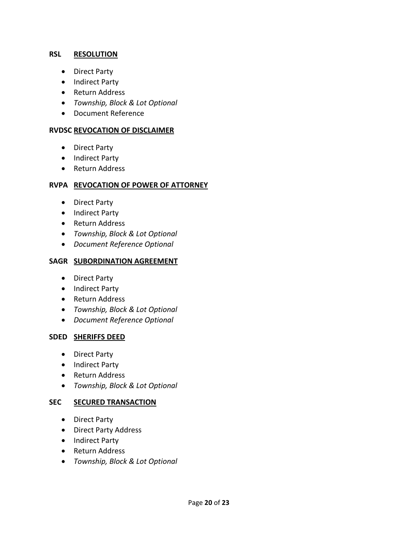#### **RSL RESOLUTION**

- Direct Party
- Indirect Party
- Return Address
- *Township, Block & Lot Optional*
- Document Reference

#### **RVDSC REVOCATION OF DISCLAIMER**

- Direct Party
- Indirect Party
- Return Address

#### **RVPA REVOCATION OF POWER OF ATTORNEY**

- Direct Party
- Indirect Party
- Return Address
- *Township, Block & Lot Optional*
- *Document Reference Optional*

#### **SAGR SUBORDINATION AGREEMENT**

- Direct Party
- Indirect Party
- Return Address
- *Township, Block & Lot Optional*
- *Document Reference Optional*

#### **SDED SHERIFFS DEED**

- Direct Party
- Indirect Party
- Return Address
- *Township, Block & Lot Optional*

#### **SEC SECURED TRANSACTION**

- Direct Party
- Direct Party Address
- Indirect Party
- Return Address
- *Township, Block & Lot Optional*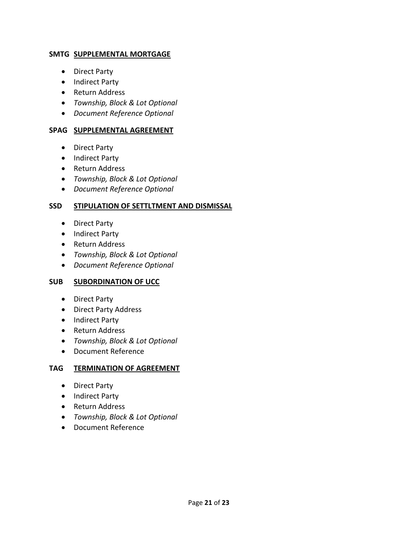#### **SMTG SUPPLEMENTAL MORTGAGE**

- Direct Party
- Indirect Party
- Return Address
- *Township, Block & Lot Optional*
- *Document Reference Optional*

# **SPAG SUPPLEMENTAL AGREEMENT**

- Direct Party
- Indirect Party
- Return Address
- *Township, Block & Lot Optional*
- *Document Reference Optional*

# **SSD STIPULATION OF SETTLTMENT AND DISMISSAL**

- Direct Party
- Indirect Party
- Return Address
- *Township, Block & Lot Optional*
- *Document Reference Optional*

# **SUB SUBORDINATION OF UCC**

- Direct Party
- Direct Party Address
- Indirect Party
- Return Address
- *Township, Block & Lot Optional*
- Document Reference

#### **TAG TERMINATION OF AGREEMENT**

- Direct Party
- Indirect Party
- Return Address
- *Township, Block & Lot Optional*
- Document Reference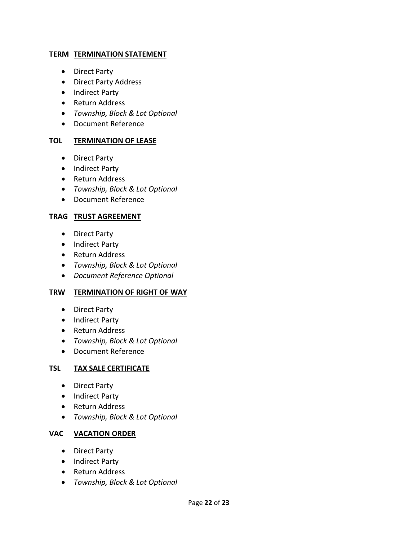#### **TERM TERMINATION STATEMENT**

- Direct Party
- Direct Party Address
- Indirect Party
- Return Address
- *Township, Block & Lot Optional*
- Document Reference

#### **TOL TERMINATION OF LEASE**

- Direct Party
- Indirect Party
- Return Address
- *Township, Block & Lot Optional*
- Document Reference

#### **TRAG TRUST AGREEMENT**

- Direct Party
- Indirect Party
- Return Address
- *Township, Block & Lot Optional*
- *Document Reference Optional*

#### **TRW TERMINATION OF RIGHT OF WAY**

- Direct Party
- Indirect Party
- Return Address
- *Township, Block & Lot Optional*
- Document Reference

#### **TSL TAX SALE CERTIFICATE**

- Direct Party
- Indirect Party
- Return Address
- *Township, Block & Lot Optional*

# **VAC VACATION ORDER**

- Direct Party
- Indirect Party
- Return Address
- *Township, Block & Lot Optional*